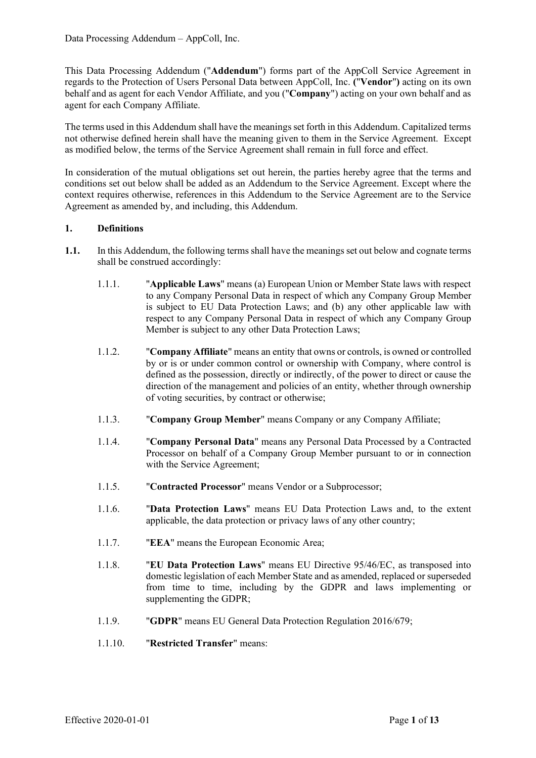This Data Processing Addendum ("**Addendum**") forms part of the AppColl Service Agreement in regards to the Protection of Users Personal Data between AppColl, Inc. **(**"**Vendor**"**)** acting on its own behalf and as agent for each Vendor Affiliate, and you ("**Company**") acting on your own behalf and as agent for each Company Affiliate.

The terms used in this Addendum shall have the meanings set forth in this Addendum. Capitalized terms not otherwise defined herein shall have the meaning given to them in the Service Agreement. Except as modified below, the terms of the Service Agreement shall remain in full force and effect.

In consideration of the mutual obligations set out herein, the parties hereby agree that the terms and conditions set out below shall be added as an Addendum to the Service Agreement. Except where the context requires otherwise, references in this Addendum to the Service Agreement are to the Service Agreement as amended by, and including, this Addendum.

### **1. Definitions**

- **1.1.** In this Addendum, the following terms shall have the meanings set out below and cognate terms shall be construed accordingly:
	- 1.1.1. "**Applicable Laws**" means (a) European Union or Member State laws with respect to any Company Personal Data in respect of which any Company Group Member is subject to EU Data Protection Laws; and (b) any other applicable law with respect to any Company Personal Data in respect of which any Company Group Member is subject to any other Data Protection Laws;
	- 1.1.2. "**Company Affiliate**" means an entity that owns or controls, is owned or controlled by or is or under common control or ownership with Company, where control is defined as the possession, directly or indirectly, of the power to direct or cause the direction of the management and policies of an entity, whether through ownership of voting securities, by contract or otherwise;
	- 1.1.3. "**Company Group Member**" means Company or any Company Affiliate;
	- 1.1.4. "**Company Personal Data**" means any Personal Data Processed by a Contracted Processor on behalf of a Company Group Member pursuant to or in connection with the Service Agreement;
	- 1.1.5. "**Contracted Processor**" means Vendor or a Subprocessor;
	- 1.1.6. "**Data Protection Laws**" means EU Data Protection Laws and, to the extent applicable, the data protection or privacy laws of any other country;
	- 1.1.7. "**EEA**" means the European Economic Area;
	- 1.1.8. "**EU Data Protection Laws**" means EU Directive 95/46/EC, as transposed into domestic legislation of each Member State and as amended, replaced or superseded from time to time, including by the GDPR and laws implementing or supplementing the GDPR;
	- 1.1.9. "**GDPR**" means EU General Data Protection Regulation 2016/679;
	- 1.1.10. "**Restricted Transfer**" means: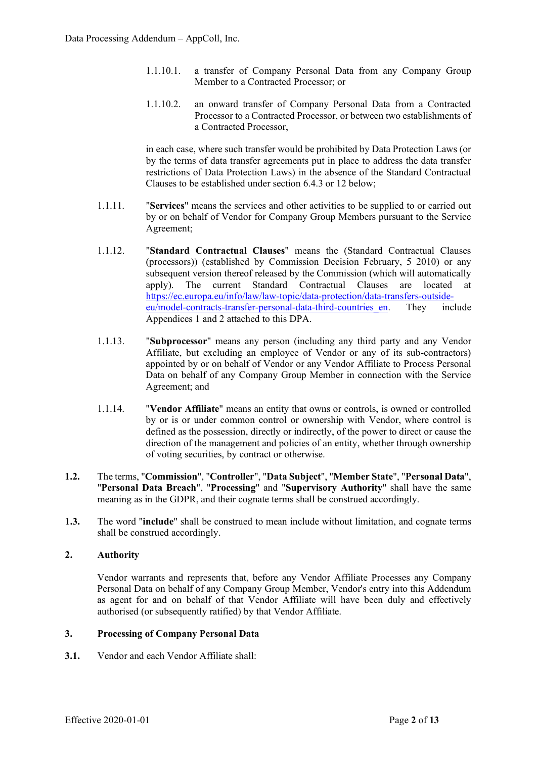- 1.1.10.1. a transfer of Company Personal Data from any Company Group Member to a Contracted Processor; or
- 1.1.10.2. an onward transfer of Company Personal Data from a Contracted Processor to a Contracted Processor, or between two establishments of a Contracted Processor,

in each case, where such transfer would be prohibited by Data Protection Laws (or by the terms of data transfer agreements put in place to address the data transfer restrictions of Data Protection Laws) in the absence of the Standard Contractual Clauses to be established under section 6.4.3 or 12 below;

- 1.1.11. "**Services**" means the services and other activities to be supplied to or carried out by or on behalf of Vendor for Company Group Members pursuant to the Service Agreement;
- 1.1.12. "**Standard Contractual Clauses**" means the (Standard Contractual Clauses (processors)) (established by Commission Decision February, 5 2010) or any subsequent version thereof released by the Commission (which will automatically apply). The current Standard Contractual Clauses are located at [https://ec.europa.eu/info/law/law-topic/data-protection/data-transfers-outside](https://ec.europa.eu/info/law/law-topic/data-protection/data-transfers-outside-eu/model-contracts-transfer-personal-data-third-countries_en)[eu/model-contracts-transfer-personal-data-third-countries\\_en.](https://ec.europa.eu/info/law/law-topic/data-protection/data-transfers-outside-eu/model-contracts-transfer-personal-data-third-countries_en) They include Appendices 1 and 2 attached to this DPA.
- 1.1.13. "**Subprocessor**" means any person (including any third party and any Vendor Affiliate, but excluding an employee of Vendor or any of its sub-contractors) appointed by or on behalf of Vendor or any Vendor Affiliate to Process Personal Data on behalf of any Company Group Member in connection with the Service Agreement; and
- 1.1.14. "**Vendor Affiliate**" means an entity that owns or controls, is owned or controlled by or is or under common control or ownership with Vendor, where control is defined as the possession, directly or indirectly, of the power to direct or cause the direction of the management and policies of an entity, whether through ownership of voting securities, by contract or otherwise.
- **1.2.** The terms, "**Commission**", "**Controller**", "**Data Subject**", "**Member State**", "**Personal Data**", "**Personal Data Breach**", "**Processing**" and "**Supervisory Authority**" shall have the same meaning as in the GDPR, and their cognate terms shall be construed accordingly.
- **1.3.** The word "**include**" shall be construed to mean include without limitation, and cognate terms shall be construed accordingly.

### **2. Authority**

Vendor warrants and represents that, before any Vendor Affiliate Processes any Company Personal Data on behalf of any Company Group Member, Vendor's entry into this Addendum as agent for and on behalf of that Vendor Affiliate will have been duly and effectively authorised (or subsequently ratified) by that Vendor Affiliate.

### **3. Processing of Company Personal Data**

**3.1.** Vendor and each Vendor Affiliate shall: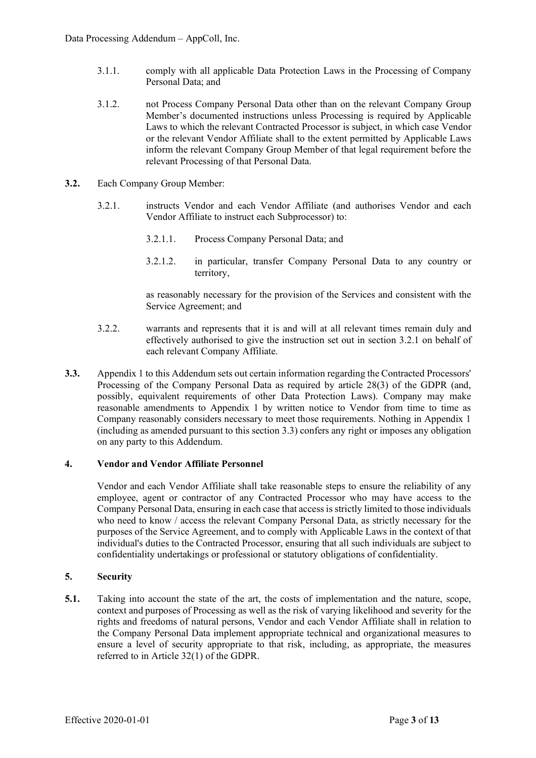- 3.1.1. comply with all applicable Data Protection Laws in the Processing of Company Personal Data; and
- 3.1.2. not Process Company Personal Data other than on the relevant Company Group Member's documented instructions unless Processing is required by Applicable Laws to which the relevant Contracted Processor is subject, in which case Vendor or the relevant Vendor Affiliate shall to the extent permitted by Applicable Laws inform the relevant Company Group Member of that legal requirement before the relevant Processing of that Personal Data.
- **3.2.** Each Company Group Member:
	- 3.2.1. instructs Vendor and each Vendor Affiliate (and authorises Vendor and each Vendor Affiliate to instruct each Subprocessor) to:
		- 3.2.1.1. Process Company Personal Data; and
		- 3.2.1.2. in particular, transfer Company Personal Data to any country or territory,

as reasonably necessary for the provision of the Services and consistent with the Service Agreement; and

- 3.2.2. warrants and represents that it is and will at all relevant times remain duly and effectively authorised to give the instruction set out in section 3.2.1 on behalf of each relevant Company Affiliate.
- **3.3.** Appendix 1 to this Addendum sets out certain information regarding the Contracted Processors' Processing of the Company Personal Data as required by article 28(3) of the GDPR (and, possibly, equivalent requirements of other Data Protection Laws). Company may make reasonable amendments to Appendix 1 by written notice to Vendor from time to time as Company reasonably considers necessary to meet those requirements. Nothing in Appendix 1 (including as amended pursuant to this section 3.3) confers any right or imposes any obligation on any party to this Addendum.

### **4. Vendor and Vendor Affiliate Personnel**

Vendor and each Vendor Affiliate shall take reasonable steps to ensure the reliability of any employee, agent or contractor of any Contracted Processor who may have access to the Company Personal Data, ensuring in each case that accessisstrictly limited to those individuals who need to know / access the relevant Company Personal Data, as strictly necessary for the purposes of the Service Agreement, and to comply with Applicable Laws in the context of that individual's duties to the Contracted Processor, ensuring that all such individuals are subject to confidentiality undertakings or professional or statutory obligations of confidentiality.

### **5. Security**

**5.1.** Taking into account the state of the art, the costs of implementation and the nature, scope, context and purposes of Processing as well as the risk of varying likelihood and severity for the rights and freedoms of natural persons, Vendor and each Vendor Affiliate shall in relation to the Company Personal Data implement appropriate technical and organizational measures to ensure a level of security appropriate to that risk, including, as appropriate, the measures referred to in Article 32(1) of the GDPR.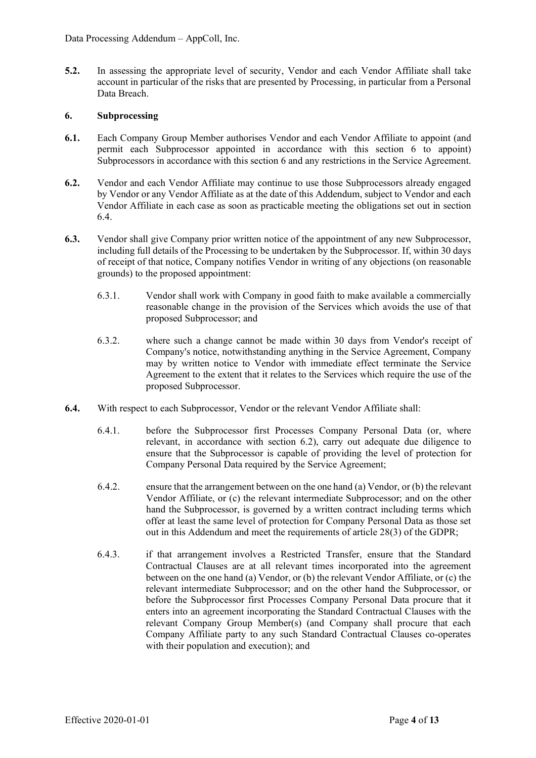**5.2.** In assessing the appropriate level of security, Vendor and each Vendor Affiliate shall take account in particular of the risks that are presented by Processing, in particular from a Personal Data Breach.

## **6. Subprocessing**

- **6.1.** Each Company Group Member authorises Vendor and each Vendor Affiliate to appoint (and permit each Subprocessor appointed in accordance with this section 6 to appoint) Subprocessors in accordance with this section 6 and any restrictions in the Service Agreement.
- **6.2.** Vendor and each Vendor Affiliate may continue to use those Subprocessors already engaged by Vendor or any Vendor Affiliate as at the date of this Addendum, subject to Vendor and each Vendor Affiliate in each case as soon as practicable meeting the obligations set out in section 6.4.
- **6.3.** Vendor shall give Company prior written notice of the appointment of any new Subprocessor, including full details of the Processing to be undertaken by the Subprocessor. If, within 30 days of receipt of that notice, Company notifies Vendor in writing of any objections (on reasonable grounds) to the proposed appointment:
	- 6.3.1. Vendor shall work with Company in good faith to make available a commercially reasonable change in the provision of the Services which avoids the use of that proposed Subprocessor; and
	- 6.3.2. where such a change cannot be made within 30 days from Vendor's receipt of Company's notice, notwithstanding anything in the Service Agreement, Company may by written notice to Vendor with immediate effect terminate the Service Agreement to the extent that it relates to the Services which require the use of the proposed Subprocessor.
- **6.4.** With respect to each Subprocessor, Vendor or the relevant Vendor Affiliate shall:
	- 6.4.1. before the Subprocessor first Processes Company Personal Data (or, where relevant, in accordance with section 6.2), carry out adequate due diligence to ensure that the Subprocessor is capable of providing the level of protection for Company Personal Data required by the Service Agreement;
	- 6.4.2. ensure that the arrangement between on the one hand (a) Vendor, or (b) the relevant Vendor Affiliate, or (c) the relevant intermediate Subprocessor; and on the other hand the Subprocessor, is governed by a written contract including terms which offer at least the same level of protection for Company Personal Data as those set out in this Addendum and meet the requirements of article 28(3) of the GDPR;
	- 6.4.3. if that arrangement involves a Restricted Transfer, ensure that the Standard Contractual Clauses are at all relevant times incorporated into the agreement between on the one hand (a) Vendor, or (b) the relevant Vendor Affiliate, or (c) the relevant intermediate Subprocessor; and on the other hand the Subprocessor, or before the Subprocessor first Processes Company Personal Data procure that it enters into an agreement incorporating the Standard Contractual Clauses with the relevant Company Group Member(s) (and Company shall procure that each Company Affiliate party to any such Standard Contractual Clauses co-operates with their population and execution); and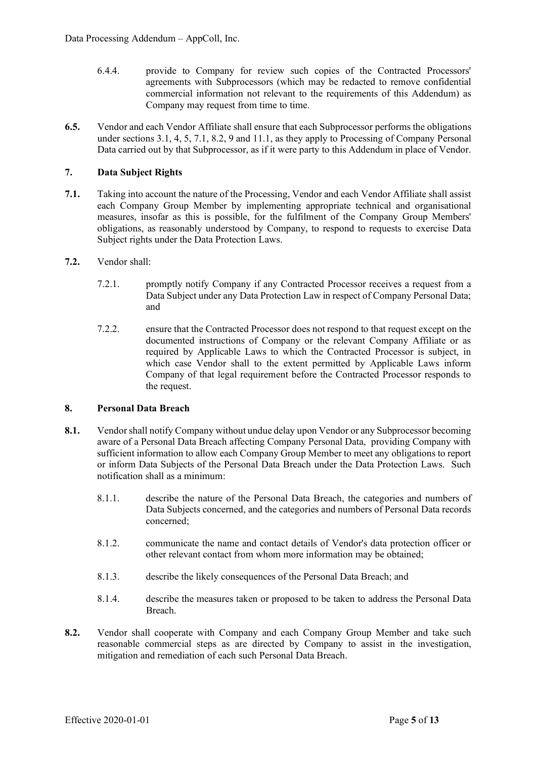- 6.4.4. provide to Company for review such copies of the Contracted Processors' agreements with Subprocessors (which may be redacted to remove confidential commercial information not relevant to the requirements of this Addendum) as Company may request from time to time.
- **6.5.** Vendor and each Vendor Affiliate shall ensure that each Subprocessor performs the obligations under sections 3.1, 4, 5, 7.1, 8.2, 9 and 11.1, as they apply to Processing of Company Personal Data carried out by that Subprocessor, as if it were party to this Addendum in place of Vendor.

## **7. Data Subject Rights**

- **7.1.** Taking into account the nature of the Processing, Vendor and each Vendor Affiliate shall assist each Company Group Member by implementing appropriate technical and organisational measures, insofar as this is possible, for the fulfilment of the Company Group Members' obligations, as reasonably understood by Company, to respond to requests to exercise Data Subject rights under the Data Protection Laws.
- **7.2.** Vendor shall:
	- 7.2.1. promptly notify Company if any Contracted Processor receives a request from a Data Subject under any Data Protection Law in respect of Company Personal Data; and
	- 7.2.2. ensure that the Contracted Processor does not respond to that request except on the documented instructions of Company or the relevant Company Affiliate or as required by Applicable Laws to which the Contracted Processor is subject, in which case Vendor shall to the extent permitted by Applicable Laws inform Company of that legal requirement before the Contracted Processor responds to the request.

## **8. Personal Data Breach**

- **8.1.** Vendor shall notify Company without undue delay upon Vendor or any Subprocessor becoming aware of a Personal Data Breach affecting Company Personal Data, providing Company with sufficient information to allow each Company Group Member to meet any obligations to report or inform Data Subjects of the Personal Data Breach under the Data Protection Laws. Such notification shall as a minimum:
	- 8.1.1. describe the nature of the Personal Data Breach, the categories and numbers of Data Subjects concerned, and the categories and numbers of Personal Data records concerned;
	- 8.1.2. communicate the name and contact details of Vendor's data protection officer or other relevant contact from whom more information may be obtained;
	- 8.1.3. describe the likely consequences of the Personal Data Breach; and
	- 8.1.4. describe the measures taken or proposed to be taken to address the Personal Data Breach.
- **8.2.** Vendor shall cooperate with Company and each Company Group Member and take such reasonable commercial steps as are directed by Company to assist in the investigation, mitigation and remediation of each such Personal Data Breach.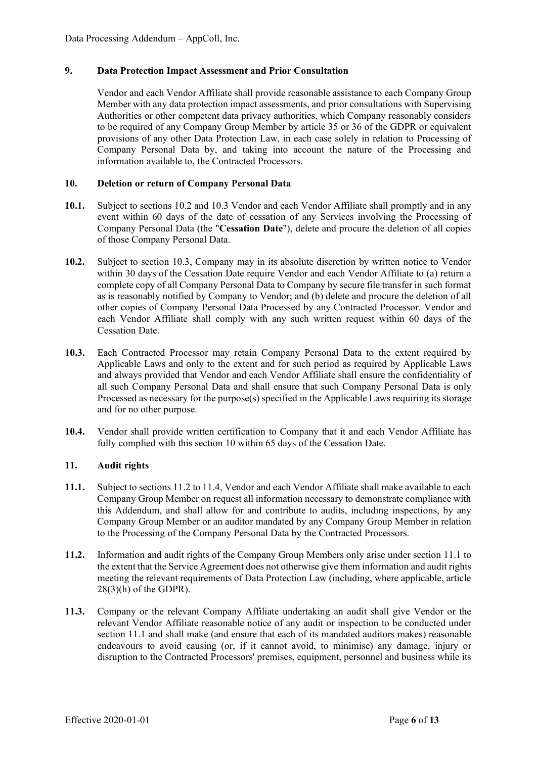### **9. Data Protection Impact Assessment and Prior Consultation**

Vendor and each Vendor Affiliate shall provide reasonable assistance to each Company Group Member with any data protection impact assessments, and prior consultations with Supervising Authorities or other competent data privacy authorities, which Company reasonably considers to be required of any Company Group Member by article 35 or 36 of the GDPR or equivalent provisions of any other Data Protection Law, in each case solely in relation to Processing of Company Personal Data by, and taking into account the nature of the Processing and information available to, the Contracted Processors.

### **10. Deletion or return of Company Personal Data**

- **10.1.** Subject to sections 10.2 and 10.3 Vendor and each Vendor Affiliate shall promptly and in any event within 60 days of the date of cessation of any Services involving the Processing of Company Personal Data (the "**Cessation Date**"), delete and procure the deletion of all copies of those Company Personal Data.
- **10.2.** Subject to section 10.3, Company may in its absolute discretion by written notice to Vendor within 30 days of the Cessation Date require Vendor and each Vendor Affiliate to (a) return a complete copy of all Company Personal Data to Company by secure file transfer in such format as is reasonably notified by Company to Vendor; and (b) delete and procure the deletion of all other copies of Company Personal Data Processed by any Contracted Processor. Vendor and each Vendor Affiliate shall comply with any such written request within 60 days of the Cessation Date.
- **10.3.** Each Contracted Processor may retain Company Personal Data to the extent required by Applicable Laws and only to the extent and for such period as required by Applicable Laws and always provided that Vendor and each Vendor Affiliate shall ensure the confidentiality of all such Company Personal Data and shall ensure that such Company Personal Data is only Processed as necessary for the purpose(s) specified in the Applicable Laws requiring its storage and for no other purpose.
- **10.4.** Vendor shall provide written certification to Company that it and each Vendor Affiliate has fully complied with this section 10 within 65 days of the Cessation Date.

### **11. Audit rights**

- **11.1.** Subject to sections 11.2 to 11.4, Vendor and each Vendor Affiliate shall make available to each Company Group Member on request all information necessary to demonstrate compliance with this Addendum, and shall allow for and contribute to audits, including inspections, by any Company Group Member or an auditor mandated by any Company Group Member in relation to the Processing of the Company Personal Data by the Contracted Processors.
- **11.2.** Information and audit rights of the Company Group Members only arise under section 11.1 to the extent that the Service Agreement does not otherwise give them information and audit rights meeting the relevant requirements of Data Protection Law (including, where applicable, article  $28(3)$ (h) of the GDPR).
- **11.3.** Company or the relevant Company Affiliate undertaking an audit shall give Vendor or the relevant Vendor Affiliate reasonable notice of any audit or inspection to be conducted under section 11.1 and shall make (and ensure that each of its mandated auditors makes) reasonable endeavours to avoid causing (or, if it cannot avoid, to minimise) any damage, injury or disruption to the Contracted Processors' premises, equipment, personnel and business while its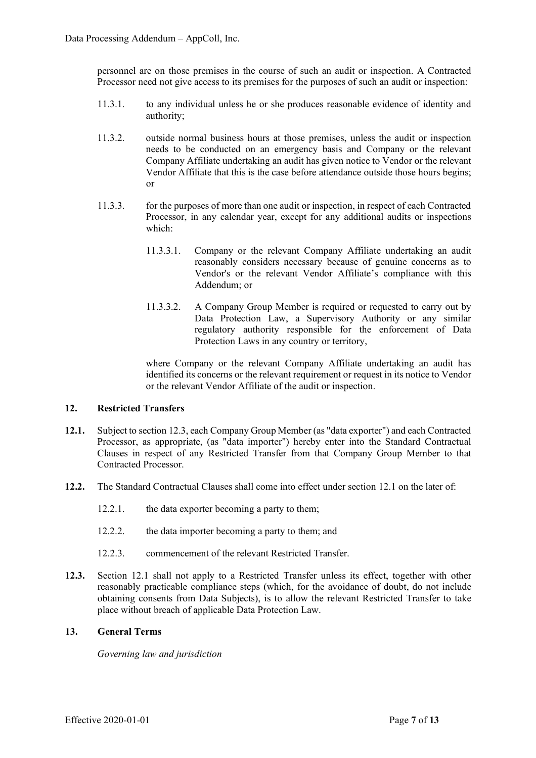personnel are on those premises in the course of such an audit or inspection. A Contracted Processor need not give access to its premises for the purposes of such an audit or inspection:

- 11.3.1. to any individual unless he or she produces reasonable evidence of identity and authority;
- 11.3.2. outside normal business hours at those premises, unless the audit or inspection needs to be conducted on an emergency basis and Company or the relevant Company Affiliate undertaking an audit has given notice to Vendor or the relevant Vendor Affiliate that this is the case before attendance outside those hours begins; or
- 11.3.3. for the purposes of more than one audit or inspection, in respect of each Contracted Processor, in any calendar year, except for any additional audits or inspections which:
	- 11.3.3.1. Company or the relevant Company Affiliate undertaking an audit reasonably considers necessary because of genuine concerns as to Vendor's or the relevant Vendor Affiliate's compliance with this Addendum; or
	- 11.3.3.2. A Company Group Member is required or requested to carry out by Data Protection Law, a Supervisory Authority or any similar regulatory authority responsible for the enforcement of Data Protection Laws in any country or territory,

where Company or the relevant Company Affiliate undertaking an audit has identified its concerns or the relevant requirement or request in its notice to Vendor or the relevant Vendor Affiliate of the audit or inspection.

## **12. Restricted Transfers**

- **12.1.** Subject to section 12.3, each Company Group Member (as "data exporter") and each Contracted Processor, as appropriate, (as "data importer") hereby enter into the Standard Contractual Clauses in respect of any Restricted Transfer from that Company Group Member to that Contracted Processor.
- **12.2.** The Standard Contractual Clauses shall come into effect under section 12.1 on the later of:
	- 12.2.1. the data exporter becoming a party to them;
	- 12.2.2. the data importer becoming a party to them; and
	- 12.2.3. commencement of the relevant Restricted Transfer.
- **12.3.** Section 12.1 shall not apply to a Restricted Transfer unless its effect, together with other reasonably practicable compliance steps (which, for the avoidance of doubt, do not include obtaining consents from Data Subjects), is to allow the relevant Restricted Transfer to take place without breach of applicable Data Protection Law.

### **13. General Terms**

*Governing law and jurisdiction*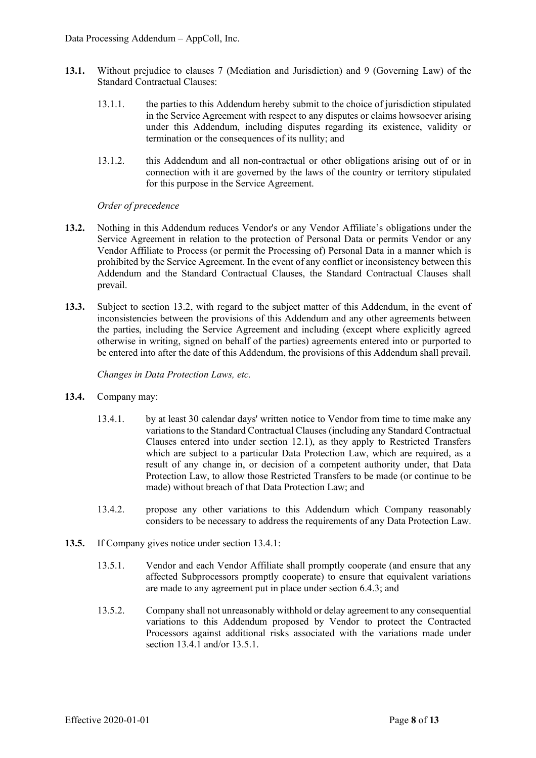- **13.1.** Without prejudice to clauses 7 (Mediation and Jurisdiction) and 9 (Governing Law) of the Standard Contractual Clauses:
	- 13.1.1. the parties to this Addendum hereby submit to the choice of jurisdiction stipulated in the Service Agreement with respect to any disputes or claims howsoever arising under this Addendum, including disputes regarding its existence, validity or termination or the consequences of its nullity; and
	- 13.1.2. this Addendum and all non-contractual or other obligations arising out of or in connection with it are governed by the laws of the country or territory stipulated for this purpose in the Service Agreement.

## *Order of precedence*

- **13.2.** Nothing in this Addendum reduces Vendor's or any Vendor Affiliate's obligations under the Service Agreement in relation to the protection of Personal Data or permits Vendor or any Vendor Affiliate to Process (or permit the Processing of) Personal Data in a manner which is prohibited by the Service Agreement. In the event of any conflict or inconsistency between this Addendum and the Standard Contractual Clauses, the Standard Contractual Clauses shall prevail.
- **13.3.** Subject to section 13.2, with regard to the subject matter of this Addendum, in the event of inconsistencies between the provisions of this Addendum and any other agreements between the parties, including the Service Agreement and including (except where explicitly agreed otherwise in writing, signed on behalf of the parties) agreements entered into or purported to be entered into after the date of this Addendum, the provisions of this Addendum shall prevail.

*Changes in Data Protection Laws, etc.*

- **13.4.** Company may:
	- 13.4.1. by at least 30 calendar days' written notice to Vendor from time to time make any variations to the Standard Contractual Clauses (including any Standard Contractual Clauses entered into under section 12.1), as they apply to Restricted Transfers which are subject to a particular Data Protection Law, which are required, as a result of any change in, or decision of a competent authority under, that Data Protection Law, to allow those Restricted Transfers to be made (or continue to be made) without breach of that Data Protection Law; and
	- 13.4.2. propose any other variations to this Addendum which Company reasonably considers to be necessary to address the requirements of any Data Protection Law.
- **13.5.** If Company gives notice under section 13.4.1:
	- 13.5.1. Vendor and each Vendor Affiliate shall promptly cooperate (and ensure that any affected Subprocessors promptly cooperate) to ensure that equivalent variations are made to any agreement put in place under section 6.4.3; and
	- 13.5.2. Company shall not unreasonably withhold or delay agreement to any consequential variations to this Addendum proposed by Vendor to protect the Contracted Processors against additional risks associated with the variations made under section 13.4.1 and/or 13.5.1.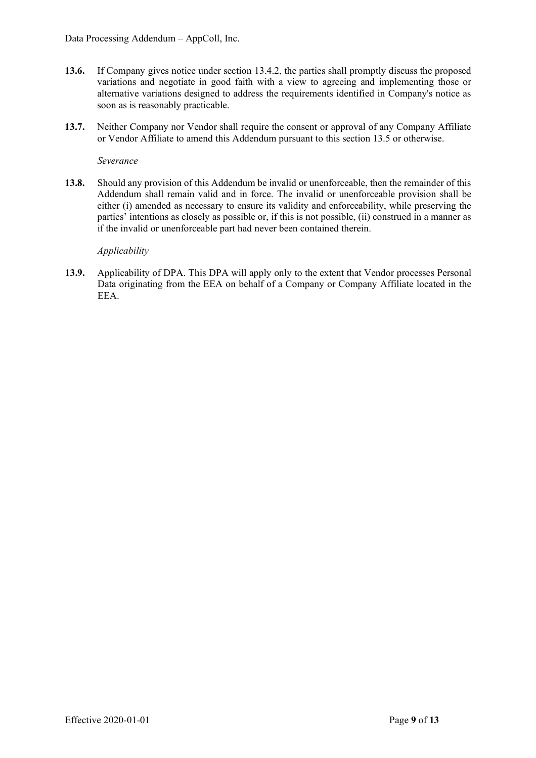- **13.6.** If Company gives notice under section 13.4.2, the parties shall promptly discuss the proposed variations and negotiate in good faith with a view to agreeing and implementing those or alternative variations designed to address the requirements identified in Company's notice as soon as is reasonably practicable.
- **13.7.** Neither Company nor Vendor shall require the consent or approval of any Company Affiliate or Vendor Affiliate to amend this Addendum pursuant to this section 13.5 or otherwise.

*Severance*

**13.8.** Should any provision of this Addendum be invalid or unenforceable, then the remainder of this Addendum shall remain valid and in force. The invalid or unenforceable provision shall be either (i) amended as necessary to ensure its validity and enforceability, while preserving the parties' intentions as closely as possible or, if this is not possible, (ii) construed in a manner as if the invalid or unenforceable part had never been contained therein.

### *Applicability*

**13.9.** Applicability of DPA. This DPA will apply only to the extent that Vendor processes Personal Data originating from the EEA on behalf of a Company or Company Affiliate located in the EEA.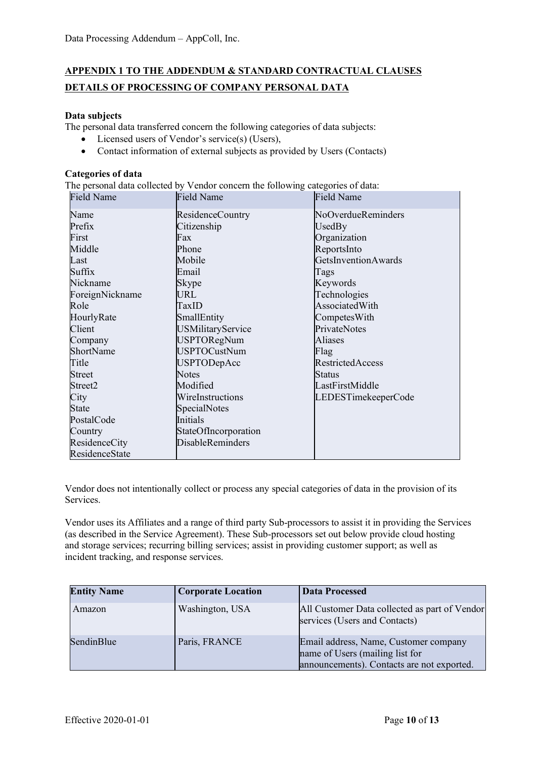# **APPENDIX 1 TO THE ADDENDUM & STANDARD CONTRACTUAL CLAUSES DETAILS OF PROCESSING OF COMPANY PERSONAL DATA**

## **Data subjects**

The personal data transferred concern the following categories of data subjects:

- Licensed users of Vendor's service(s) (Users),
- Contact information of external subjects as provided by Users (Contacts)

### **Categories of data**

The personal data collected by Vendor concern the following categories of data:

| <b>Field Name</b> | <b>Field Name</b>        | <b>Field Name</b>          |
|-------------------|--------------------------|----------------------------|
| Name              | ResidenceCountry         | NoOverdueReminders         |
| Prefix            | Citizenship              | UsedBy                     |
| First             | Fax                      | Organization               |
| Middle            | Phone                    | ReportsInto                |
| Last              | Mobile                   | <b>GetsInventionAwards</b> |
| Suffix            | Email                    | Tags                       |
| Nickname          | Skype                    | Keywords                   |
| ForeignNickname   | URL                      | Technologies               |
| Role              | TaxID                    | AssociatedWith             |
| HourlyRate        | SmallEntity              | CompetesWith               |
| Client            | <b>USMilitaryService</b> | PrivateNotes               |
| Company           | <b>USPTORegNum</b>       | Aliases                    |
| ShortName         | <b>USPTOCustNum</b>      | Flag                       |
| Title             | <b>USPTODepAcc</b>       | <b>RestrictedAccess</b>    |
| <b>Street</b>     | <b>Notes</b>             | <b>Status</b>              |
| Street2           | Modified                 | LastFirstMiddle            |
| City              | WireInstructions         | LEDESTimekeeperCode        |
| State             | SpecialNotes             |                            |
| PostalCode        | Initials                 |                            |
| Country           | StateOfIncorporation     |                            |
| ResidenceCity     | <b>DisableReminders</b>  |                            |
| ResidenceState    |                          |                            |

Vendor does not intentionally collect or process any special categories of data in the provision of its Services.

Vendor uses its Affiliates and a range of third party Sub-processors to assist it in providing the Services (as described in the Service Agreement). These Sub-processors set out below provide cloud hosting and storage services; recurring billing services; assist in providing customer support; as well as incident tracking, and response services.

| <b>Entity Name</b> | <b>Corporate Location</b> | <b>Data Processed</b>                                                                                                  |
|--------------------|---------------------------|------------------------------------------------------------------------------------------------------------------------|
| Amazon             | Washington, USA           | All Customer Data collected as part of Vendor<br>services (Users and Contacts)                                         |
| SendinBlue         | Paris, FRANCE             | Email address, Name, Customer company<br>name of Users (mailing list for<br>announcements). Contacts are not exported. |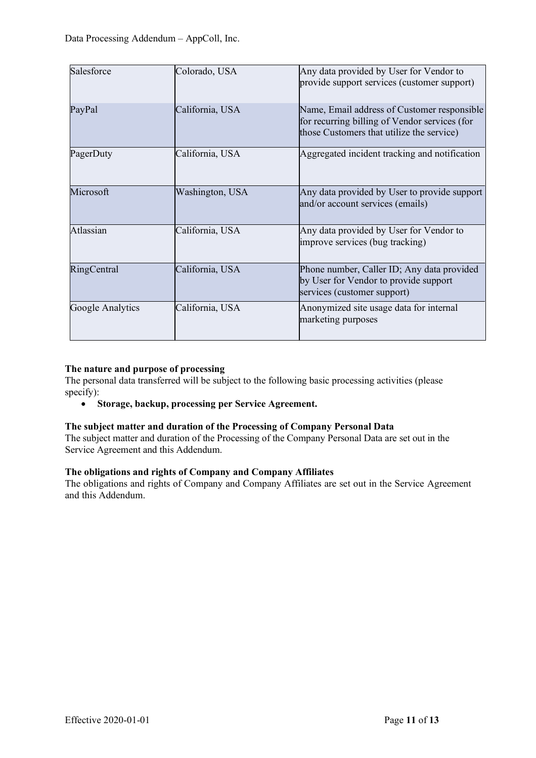| Salesforce       | Colorado, USA   | Any data provided by User for Vendor to<br>provide support services (customer support)                                                    |
|------------------|-----------------|-------------------------------------------------------------------------------------------------------------------------------------------|
| PayPal           | California, USA | Name, Email address of Customer responsible<br>for recurring billing of Vendor services (for<br>those Customers that utilize the service) |
| PagerDuty        | California, USA | Aggregated incident tracking and notification                                                                                             |
| Microsoft        | Washington, USA | Any data provided by User to provide support<br>and/or account services (emails)                                                          |
| Atlassian        | California, USA | Any data provided by User for Vendor to<br>improve services (bug tracking)                                                                |
| RingCentral      | California, USA | Phone number, Caller ID; Any data provided<br>by User for Vendor to provide support<br>services (customer support)                        |
| Google Analytics | California, USA | Anonymized site usage data for internal<br>marketing purposes                                                                             |

## **The nature and purpose of processing**

The personal data transferred will be subject to the following basic processing activities (please specify):

• **Storage, backup, processing per Service Agreement.**

### **The subject matter and duration of the Processing of Company Personal Data**

The subject matter and duration of the Processing of the Company Personal Data are set out in the Service Agreement and this Addendum.

## **The obligations and rights of Company and Company Affiliates**

The obligations and rights of Company and Company Affiliates are set out in the Service Agreement and this Addendum.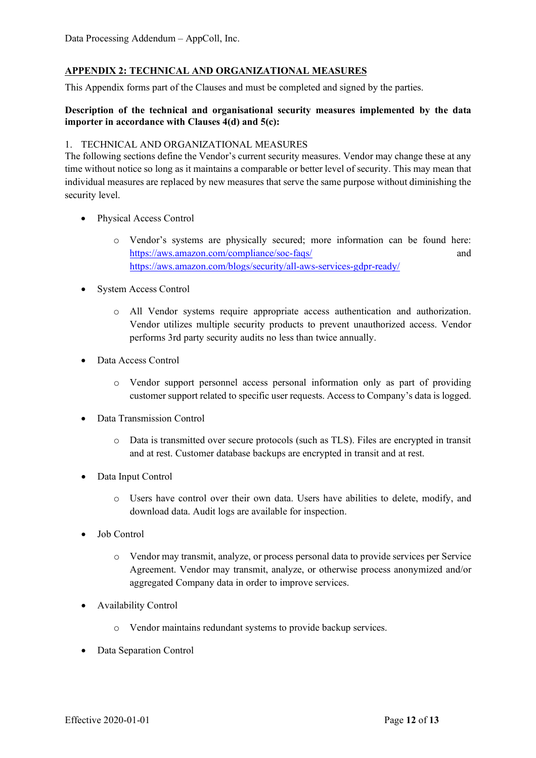## **APPENDIX 2: TECHNICAL AND ORGANIZATIONAL MEASURES**

This Appendix forms part of the Clauses and must be completed and signed by the parties.

## **Description of the technical and organisational security measures implemented by the data importer in accordance with Clauses 4(d) and 5(c):**

### 1. TECHNICAL AND ORGANIZATIONAL MEASURES

The following sections define the Vendor's current security measures. Vendor may change these at any time without notice so long as it maintains a comparable or better level of security. This may mean that individual measures are replaced by new measures that serve the same purpose without diminishing the security level.

- Physical Access Control
	- o Vendor's systems are physically secured; more information can be found here: <https://aws.amazon.com/compliance/soc-faqs/> and <https://aws.amazon.com/blogs/security/all-aws-services-gdpr-ready/>
- System Access Control
	- o All Vendor systems require appropriate access authentication and authorization. Vendor utilizes multiple security products to prevent unauthorized access. Vendor performs 3rd party security audits no less than twice annually.
- Data Access Control
	- o Vendor support personnel access personal information only as part of providing customer support related to specific user requests. Access to Company's data is logged.
- Data Transmission Control
	- o Data is transmitted over secure protocols (such as TLS). Files are encrypted in transit and at rest. Customer database backups are encrypted in transit and at rest.
- Data Input Control
	- o Users have control over their own data. Users have abilities to delete, modify, and download data. Audit logs are available for inspection.
- Job Control
	- o Vendor may transmit, analyze, or process personal data to provide services per Service Agreement. Vendor may transmit, analyze, or otherwise process anonymized and/or aggregated Company data in order to improve services.
- Availability Control
	- o Vendor maintains redundant systems to provide backup services.
- Data Separation Control